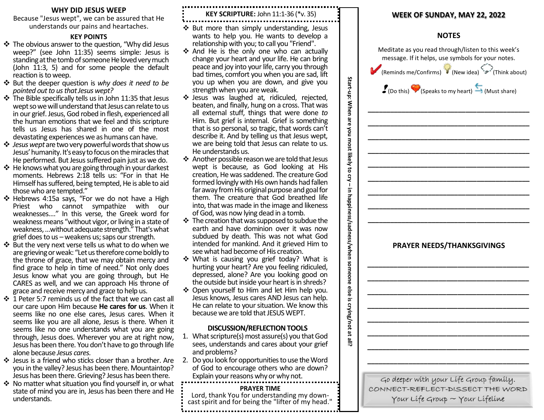#### **WHY DID JESUS WEEP**

Because "Jesus wept", we can be assured that He understands our pains and heartaches.

#### **KEY POINTS**

- ❖ The obvious answer to the question, "Why did Jesus weep?" (see John 11:35) seems simple: Jesus is standing at the tomb of someone He loved very much (John 11:3, 5) and for some people the default reaction is to weep.
- ❖ But the deeper question is *why does it need to be pointed out to us that Jesus wept?*
- ❖ The Bible specifically tells us in John 11:35 that Jesus wept so we will understand that Jesus can relate to us in our grief. Jesus, God robed in flesh, experienced all the human emotions that we feel and this scripture tells us Jesus has shared in one of the most devastating experiences we as humans can have.
- ❖ *Jesus wept*are two very powerful words that show us Jesus' humanity. It's easy to focus on the miracles that He performed. But Jesus suffered pain just as we do.
- ❖ He knows what you are going through in your darkest moments. Hebrews 2:18 tells us: "For in that He Himself has suffered, being tempted, He is able to aid those who are tempted."
- ❖ Hebrews 4:15a says, "For we do not have a High Priest who cannot sympathize with our weaknesses…." In this verse, the Greek word for weakness means "without vigor, or living in a state of weakness, …without adequate strength." That'swhat grief does to us  $-$  weakens us; saps our strength.
- ❖ But the very next verse tells us what to do when we are grieving or weak: "Let us therefore come boldly to the throne of grace, that we may obtain mercy and find grace to help in time of need." Not only does Jesus know what you are going through, but He CARES as well, and we can approach His throne of grace and receive mercy and grace to help us.
- ❖ 1 Peter 5:7 reminds us of the fact that we can cast all our care upon Him because **He cares for us**. When it seems like no one else cares, Jesus cares. When it seems like you are all alone, Jesus is there. When it seems like no one understands what you are going through, Jesus does. Wherever you are at right now, Jesus has been there. You don't have to go through life alone because *Jesus cares.*
- ❖ Jesus is a friend who sticks closer than a brother. Are you in the valley? Jesus has been there. Mountaintop? Jesus has been there. Grieving? Jesus has been there.
- ❖ No matter what situation you find yourself in, or what state of mind you are in, Jesus has been there and He understands.

# **KEY SCRIPTURE:** John 11:1-36 (\*v. 35)

- ❖ But more than simply understanding, Jesus wants to help you. He wants to develop a relationship with you; to call you "Friend".
- ❖ And He is the only one who can actually change your heart and your life. He can bring peace and joy into your life, carry you through bad times, comfort you when you are sad, lift you up when you are down, and give you strength when you are weak.

**Start-up:**

**When are you most likely to cry** 

**–**

**in happiness/sadness/when someone else is crying/not at all?**

- ❖ Jesus was laughed at, ridiculed, rejected, beaten, and finally, hung on a cross. That was all external stuff, things that were done *to* Him. But grief is internal. Grief is something that is so personal, so tragic, that words can't describe it. And by telling us that Jesus wept, we are being told that Jesus can relate to us. He understands us.
- ❖ Another possible reason we are told that Jesus wept is because, as God looking at His creation, He was saddened. The creature God formed lovingly with His own hands had fallen far away from His original purpose and goal for them. The creature that God breathed life into, that was made in the image and likeness of God, was now lying dead in a tomb.
- ❖ The creation that was supposed to subdue the earth and have dominion over it was now subdued by death. This was not what God intended for mankind. And it grieved Him to see what had become of His creation.
- ❖ What is causing you grief today? What is hurting your heart? Are you feeling ridiculed, depressed, alone? Are you looking good on the outside but inside your heart is in shreds?
- ❖ Open yourself to Him and let Him help you. Jesus knows, Jesus cares AND Jesus can help. He can relate to your situation. We know this because we are told that JESUS WEPT.

#### **DISCUSSION/REFLECTION TOOLS**

- 1. What scripture(s) most assure(s) you that God sees, understands and cares about your grief and problems?
- 2. Do you look for opportunities to use the Word of God to encourage others who are down? Explain your reasons why or why not.

### **PRAYER TIME**

Lord, thank You for understanding my downcast spirit and for being the "lifter of my head."

## **WEEK OF SUNDAY, MAY 22, 2022**

#### **NOTES**

|  |  | Meditate as you read through/listen to this week's<br>message. If it helps, use symbols for your notes.<br>(Reminds me/Confirms) (New idea) $\overrightarrow{r}$ (Think about) |  |
|--|--|--------------------------------------------------------------------------------------------------------------------------------------------------------------------------------|--|
|  |  | $\bullet$ (Do this) $\bullet$ (Speaks to my heart) $\bullet$ (Must share)                                                                                                      |  |
|  |  |                                                                                                                                                                                |  |
|  |  |                                                                                                                                                                                |  |
|  |  |                                                                                                                                                                                |  |
|  |  |                                                                                                                                                                                |  |
|  |  |                                                                                                                                                                                |  |
|  |  |                                                                                                                                                                                |  |
|  |  |                                                                                                                                                                                |  |
|  |  |                                                                                                                                                                                |  |
|  |  | <b>PRAYER NEEDS/THANKSGIVINGS</b>                                                                                                                                              |  |
|  |  |                                                                                                                                                                                |  |
|  |  |                                                                                                                                                                                |  |
|  |  |                                                                                                                                                                                |  |
|  |  |                                                                                                                                                                                |  |
|  |  |                                                                                                                                                                                |  |
|  |  |                                                                                                                                                                                |  |